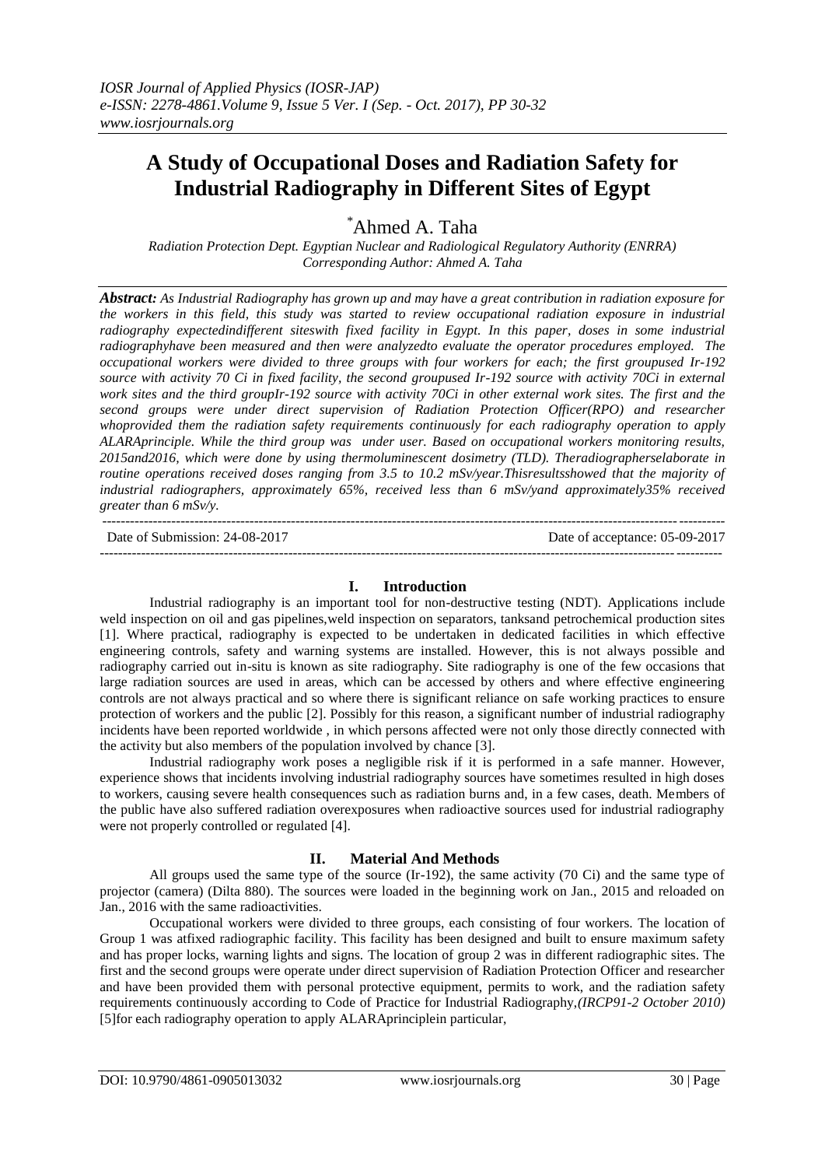# **A Study of Occupational Doses and Radiation Safety for Industrial Radiography in Different Sites of Egypt**

\*Ahmed A. Taha

*Radiation Protection Dept. Egyptian Nuclear and Radiological Regulatory Authority (ENRRA) Corresponding Author: Ahmed A. Taha*

*Abstract: As Industrial Radiography has grown up and may have a great contribution in radiation exposure for the workers in this field, this study was started to review occupational radiation exposure in industrial radiography expectedindifferent siteswith fixed facility in Egypt. In this paper, doses in some industrial radiographyhave been measured and then were analyzedto evaluate the operator procedures employed. The occupational workers were divided to three groups with four workers for each; the first groupused Ir-192 source with activity 70 Ci in fixed facility, the second groupused Ir-192 source with activity 70Ci in external work sites and the third groupIr-192 source with activity 70Ci in other external work sites. The first and the second groups were under direct supervision of Radiation Protection Officer(RPO) and researcher whoprovided them the radiation safety requirements continuously for each radiography operation to apply ALARAprinciple. While the third group was under user. Based on occupational workers monitoring results, 2015and2016, which were done by using thermoluminescent dosimetry (TLD). Theradiographerselaborate in routine operations received doses ranging from 3.5 to 10.2 mSv/year.Thisresultsshowed that the majority of industrial radiographers, approximately 65%, received less than 6 mSv/yand approximately35% received greater than 6 mSv/y.*

--------------------------------------------------------------------------------------------------------------------------------------- Date of Submission: 24-08-2017 Date of acceptance: 05-09-2017 ---------------------------------------------------------------------------------------------------------------------------------------

#### **I. Introduction**

Industrial radiography is an important tool for non-destructive testing (NDT). Applications include weld inspection on oil and gas pipelines,weld inspection on separators, tanksand petrochemical production sites [1]. Where practical, radiography is expected to be undertaken in dedicated facilities in which effective engineering controls, safety and warning systems are installed. However, this is not always possible and radiography carried out in-situ is known as site radiography. Site radiography is one of the few occasions that large radiation sources are used in areas, which can be accessed by others and where effective engineering controls are not always practical and so where there is significant reliance on safe working practices to ensure protection of workers and the public [2]. Possibly for this reason, a significant number of industrial radiography incidents have been reported worldwide , in which persons affected were not only those directly connected with the activity but also members of the population involved by chance [3].

Industrial radiography work poses a negligible risk if it is performed in a safe manner. However, experience shows that incidents involving industrial radiography sources have sometimes resulted in high doses to workers, causing severe health consequences such as radiation burns and, in a few cases, death. Members of the public have also suffered radiation overexposures when radioactive sources used for industrial radiography were not properly controlled or regulated [4].

### **II. Material And Methods**

All groups used the same type of the source (Ir-192), the same activity (70 Ci) and the same type of projector (camera) (Dilta 880). The sources were loaded in the beginning work on Jan., 2015 and reloaded on Jan., 2016 with the same radioactivities.

Occupational workers were divided to three groups, each consisting of four workers. The location of Group 1 was atfixed radiographic facility. This facility has been designed and built to ensure maximum safety and has proper locks, warning lights and signs. The location of group 2 was in different radiographic sites. The first and the second groups were operate under direct supervision of Radiation Protection Officer and researcher and have been provided them with personal protective equipment, permits to work, and the radiation safety requirements continuously according to Code of Practice for Industrial Radiography,*(IRCP91-2 October 2010)* [5]for each radiography operation to apply ALARAprinciplein particular,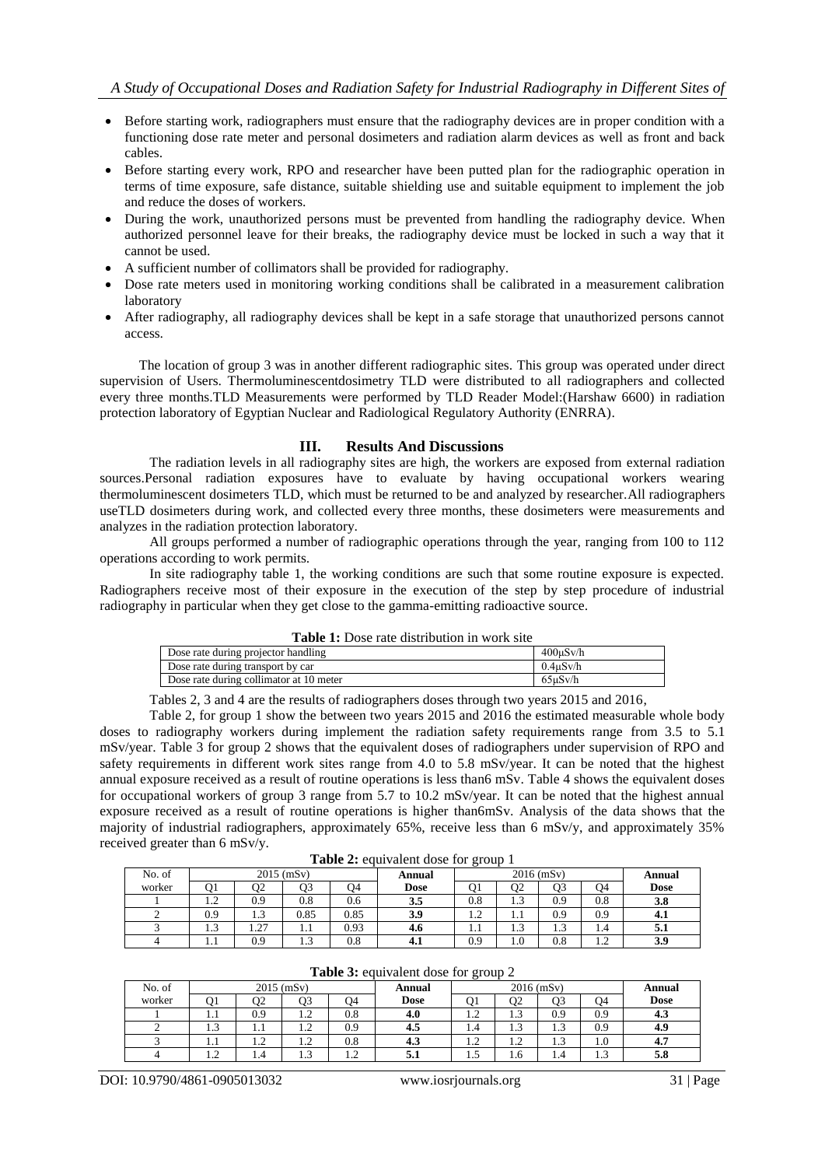- Before starting work, radiographers must ensure that the radiography devices are in proper condition with a functioning dose rate meter and personal dosimeters and radiation alarm devices as well as front and back cables.
- Before starting every work, RPO and researcher have been putted plan for the radiographic operation in terms of time exposure, safe distance, suitable shielding use and suitable equipment to implement the job and reduce the doses of workers.
- During the work, unauthorized persons must be prevented from handling the radiography device. When authorized personnel leave for their breaks, the radiography device must be locked in such a way that it cannot be used.
- A sufficient number of collimators shall be provided for radiography.
- Dose rate meters used in monitoring working conditions shall be calibrated in a measurement calibration laboratory
- After radiography, all radiography devices shall be kept in a safe storage that unauthorized persons cannot access.

The location of group 3 was in another different radiographic sites. This group was operated under direct supervision of Users. Thermoluminescentdosimetry TLD were distributed to all radiographers and collected every three months.TLD Measurements were performed by TLD Reader Model:(Harshaw 6600) in radiation protection laboratory of Egyptian Nuclear and Radiological Regulatory Authority (ENRRA).

### **III. Results And Discussions**

The radiation levels in all radiography sites are high, the workers are exposed from external radiation sources.Personal radiation exposures have to evaluate by having occupational workers wearing thermoluminescent dosimeters TLD, which must be returned to be and analyzed by researcher.All radiographers useTLD dosimeters during work, and collected every three months, these dosimeters were measurements and analyzes in the radiation protection laboratory.

All groups performed a number of radiographic operations through the year, ranging from 100 to 112 operations according to work permits.

In site radiography table 1, the working conditions are such that some routine exposure is expected. Radiographers receive most of their exposure in the execution of the step by step procedure of industrial radiography in particular when they get close to the gamma-emitting radioactive source.

| <b>Table 1:</b> Dose rate distribution in work site |  |
|-----------------------------------------------------|--|
|-----------------------------------------------------|--|

| Dose rate during projector handling     | 400uSv/h      |
|-----------------------------------------|---------------|
| Dose rate during transport by car       | 0.4uSv/h      |
| Dose rate during collimator at 10 meter | $65 \mu Sv/h$ |

Tables 2, 3 and 4 are the results of radiographers doses through two years 2015 and 2016,

Table 2, for group 1 show the between two years 2015 and 2016 the estimated measurable whole body doses to radiography workers during implement the radiation safety requirements range from 3.5 to 5.1 mSv/year. Table 3 for group 2 shows that the equivalent doses of radiographers under supervision of RPO and safety requirements in different work sites range from 4.0 to 5.8 mSv/year. It can be noted that the highest annual exposure received as a result of routine operations is less than6 mSv. Table 4 shows the equivalent doses for occupational workers of group 3 range from 5.7 to 10.2 mSv/year. It can be noted that the highest annual exposure received as a result of routine operations is higher than6mSv. Analysis of the data shows that the majority of industrial radiographers, approximately 65%, receive less than 6 mSv/y, and approximately 35% received greater than 6 mSv/y.

**Table 2:** equivalent dose for group 1

| No. of | $2015$ (mSv)<br>$2016$ (mSv)<br>Annual |                                   |              |      | Annual      |               |                  |          |                            |             |
|--------|----------------------------------------|-----------------------------------|--------------|------|-------------|---------------|------------------|----------|----------------------------|-------------|
| worker | O1                                     | O2                                | 03           | Э4   | <b>Dose</b> | O1            | 02               | Q3       | O4                         | <b>Dose</b> |
|        | $\overline{1}$                         | 0.9                               | $_{0.8}$     | 0.6  | 3.5         | $_{0.8}$      | $\sqrt{2}$<br>سد | 0.9      | 0.8                        | 3.8         |
|        | 0.9                                    | 1.3                               | 0.85         | 0.85 | 3.9         | $\bigcap$<br> | 1.1              | 0.9      | 0.9                        | 4.1         |
|        | $\sim$<br>ر. د                         | $\sim$<br>$\cdot$ $\sim$ $\prime$ | 1.1          | 0.93 | 4.0         | 1.1           | $\sim$<br>ل د له | 1.3      | 1.4                        | э.1         |
|        |                                        | 0.9                               | $\sim$<br>ر… | 0.8  | 4. L        | 0.9           | 1.0              | $_{0.8}$ | $\sim$<br>$\overline{1}$ . | 3.9         |

**Table 3:** equivalent dose for group 2

|        |                              |                          |                | ັ                        |             |               |                          |               |               |             |
|--------|------------------------------|--------------------------|----------------|--------------------------|-------------|---------------|--------------------------|---------------|---------------|-------------|
| No. of |                              |                          | $2015$ (mSv)   |                          | Annual      |               |                          | Annual        |               |             |
| worker |                              | CC                       | O3             | Ο4                       | <b>Dose</b> |               | JZ                       | O3            | Ο4            | <b>Dose</b> |
|        | 1.1                          | 0.9                      | $\overline{1}$ | 0.8                      | 4.0         | $\sim$<br>1.2 | $\sim$<br>ر. 1           | 0.9           | 0.9           | 4.3         |
|        | $\sim$<br>1.5                | $\cdots$                 | $\overline{1}$ | 0.9                      | 4.5         | 1.4           | $\sim$<br>1.0            | $\sim$<br>1.5 | 0.9           | 4.9         |
|        | 1.1                          | $\sim$<br>$\overline{1}$ | 1.4            | 0.8                      | 4.3         | $\sim$<br>1.2 | $\sim$<br>$\overline{1}$ | $\sim$<br>1.3 | 1.0           | 4.7         |
|        | $\sqrt{2}$<br>$\overline{1}$ | 1.4                      | $\sim$<br>ر…   | $\sim$<br>$\overline{1}$ | ◡.          | L.J           | 1.6                      | 1.4           | $\sim$<br>1.5 | 5.8         |

DOI: 10.9790/4861-0905013032 www.iosrjournals.org 31 | Page